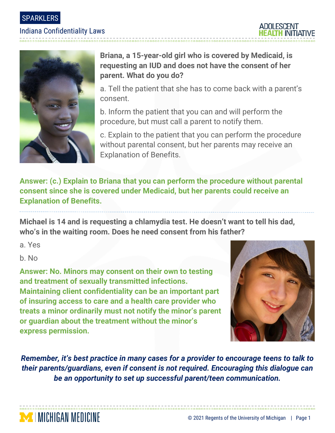SPARKLERS

### Indiana Confidentiality Laws





# **Briana, a 15-year-old girl who is covered by Medicaid, is requesting an IUD and does not have the consent of her parent. What do you do?**

a. Tell the patient that she has to come back with a parent's consent.

b. Inform the patient that you can and will perform the procedure, but must call a parent to notify them.

c. Explain to the patient that you can perform the procedure without parental consent, but her parents may receive an Explanation of Benefits.

**Answer: (c.) Explain to Briana that you can perform the procedure without parental consent since she is covered under Medicaid, but her parents could receive an Explanation of Benefits.** 

**Michael is 14 and is requesting a chlamydia test. He doesn't want to tell his dad, who's in the waiting room. Does he need consent from his father?**

a. Yes

b. No

**MINICHIGAN MEDICINE** 

**Answer: No. Minors may consent on their own to testing and treatment of sexually transmitted infections. Maintaining client confidentiality can be an important part of insuring access to care and a health care provider who treats a minor ordinarily must not notify the minor's parent or guardian about the treatment without the minor's express permission.**



*Remember, it's best practice in many cases for a provider to encourage teens to talk to their parents/guardians, even if consent is not required. Encouraging this dialogue can be an opportunity to set up successful parent/teen communication.*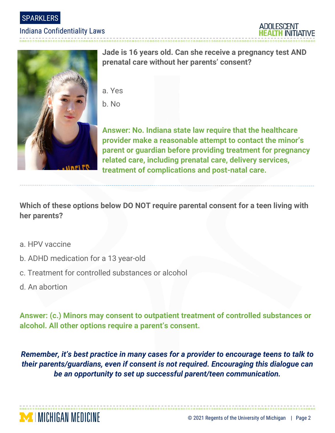SPARKLERS

#### Indiana Confidentiality Laws

-----------------------------





**Jade is 16 years old. Can she receive a pregnancy test AND prenatal care without her parents' consent?**

- a. Yes
- b. No

**Answer: No. Indiana state law require that the healthcare provider make a reasonable attempt to contact the minor's parent or guardian before providing treatment for pregnancy related care, including prenatal care, delivery services, treatment of complications and post-natal care.**

**Which of these options below DO NOT require parental consent for a teen living with her parents?**

- a. HPV vaccine
- b. ADHD medication for a 13 year-old
- c. Treatment for controlled substances or alcohol
- d. An abortion

**Answer: (c.) Minors may consent to outpatient treatment of controlled substances or alcohol. All other options require a parent's consent.** 

*Remember, it's best practice in many cases for a provider to encourage teens to talk to their parents/guardians, even if consent is not required. Encouraging this dialogue can be an opportunity to set up successful parent/teen communication.*